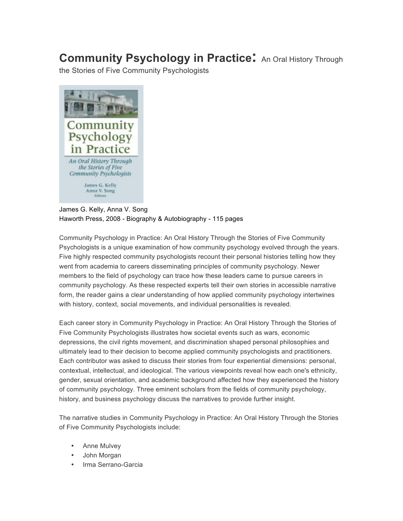## **Community Psychology in Practice:** An Oral History Through

the Stories of Five Community Psychologists



## James G. Kelly, Anna V. Song Haworth Press, 2008 - Biography & Autobiography - 115 pages

Community Psychology in Practice: An Oral History Through the Stories of Five Community Psychologists is a unique examination of how community psychology evolved through the years. Five highly respected community psychologists recount their personal histories telling how they went from academia to careers disseminating principles of community psychology. Newer members to the field of psychology can trace how these leaders came to pursue careers in community psychology. As these respected experts tell their own stories in accessible narrative form, the reader gains a clear understanding of how applied community psychology intertwines with history, context, social movements, and individual personalities is revealed.

Each career story in Community Psychology in Practice: An Oral History Through the Stories of Five Community Psychologists illustrates how societal events such as wars, economic depressions, the civil rights movement, and discrimination shaped personal philosophies and ultimately lead to their decision to become applied community psychologists and practitioners. Each contributor was asked to discuss their stories from four experiential dimensions: personal, contextual, intellectual, and ideological. The various viewpoints reveal how each one's ethnicity, gender, sexual orientation, and academic background affected how they experienced the history of community psychology. Three eminent scholars from the fields of community psychology, history, and business psychology discuss the narratives to provide further insight.

The narrative studies in Community Psychology in Practice: An Oral History Through the Stories of Five Community Psychologists include:

- Anne Mulvey
- John Morgan
- Irma Serrano-Garcia